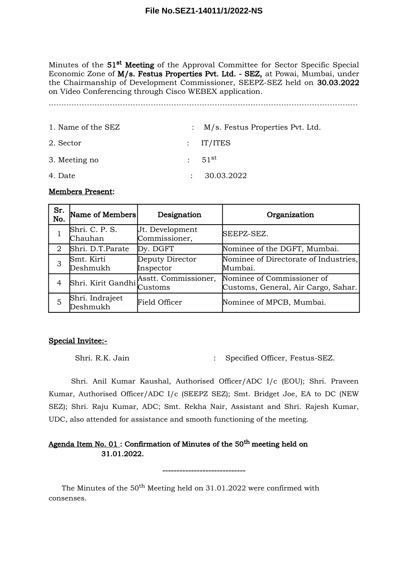Minutes of the  $51<sup>st</sup>$  Meeting of the Approval Committee for Sector Specific Special Economic Zone of M/s. Festus Properties Pvt. Ltd. - SEZ, at Powai, Mumbai, under the Chairmanship of Development Commissioner, SEEPZ-SEZ held on 30.03.2022 on Video Conferencing through Cisco WEBEX application.

`````````````````````````````````````````````````````````````````````````````````````````````````````````````````````````

| 1. Name of the SEZ | : M/s. Festus Properties Pvt. Ltd. |
|--------------------|------------------------------------|
| 2. Sector          | $:$ IT/ITES                        |
| 3. Meeting no      | : 51 <sup>st</sup>                 |
| 4. Date            | 30.03.2022                         |

#### Members Present:

| Sr.<br>No. | Name of Members             | Designation                                                        | Organization                                                      |  |
|------------|-----------------------------|--------------------------------------------------------------------|-------------------------------------------------------------------|--|
|            | Shri. C. P. S.<br>Chauhan   | Jt. Development<br>Commissioner,                                   | SEEPZ-SEZ.                                                        |  |
| 2          | Shri. D.T.Parate            | Dy. DGFT                                                           | Nominee of the DGFT, Mumbai.                                      |  |
| 3          | Smt. Kirti<br>Deshmukh      | Deputy Director<br>Inspector                                       | Nominee of Directorate of Industries,<br>Mumbai.                  |  |
| 4          |                             | Shri. Kirit Gandhi $\int_{\gamma}$ Asstt. Commissioner,<br>Customs | Nominee of Commissioner of<br>Customs, General, Air Cargo, Sahar. |  |
| 5          | Shri. Indrajeet<br>Deshmukh | <b>Field Officer</b>                                               | Nominee of MPCB, Mumbai.                                          |  |

#### Special Invitee:-

Shri. R.K. Jain : Specified Officer, Festus-SEZ.

Shri. Anil Kumar Kaushal, Authorised Officer/ADC I/c (EOU); Shri. Praveen Kumar, Authorised Officer/ADC I/c (SEEPZ SEZ); Smt. Bridget Joe, EA to DC (NEW SEZ); Shri. Raju Kumar, ADC; Smt. Rekha Nair, Assistant and Shri. Rajesh Kumar, UDC, also attended for assistance and smooth functioning of the meeting.

-----------------------------

## Agenda Item No.  $01$ : Confirmation of Minutes of the  $50<sup>th</sup>$  meeting held on 31.01.2022.

The Minutes of the  $50<sup>th</sup>$  Meeting held on 31.01.2022 were confirmed with consenses.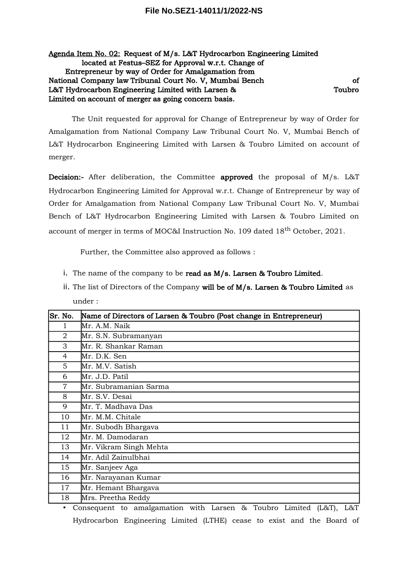#### Agenda Item No. 02: Request of M/s. L&T Hydrocarbon Engineering Limited located at Festus–SEZ for Approval w.r.t. Change of Entrepreneur by way of Order for Amalgamation from National Company law Tribunal Court No. V, Mumbai Bench of L&T Hydrocarbon Engineering Limited with Larsen & Toubro Limited on account of merger as going concern basis.

The Unit requested for approval for Change of Entrepreneur by way of Order for Amalgamation from National Company Law Tribunal Court No. V, Mumbai Bench of L&T Hydrocarbon Engineering Limited with Larsen & Toubro Limited on account of merger.

Decision:- After deliberation, the Committee approved the proposal of M/s. L&T Hydrocarbon Engineering Limited for Approval w.r.t. Change of Entrepreneur by way of Order for Amalgamation from National Company Law Tribunal Court No. V, Mumbai Bench of L&T Hydrocarbon Engineering Limited with Larsen & Toubro Limited on account of merger in terms of MOC&I Instruction No. 109 dated 18<sup>th</sup> October, 2021.

Further, the Committee also approved as follows :

- i. The name of the company to be read as M/s. Larsen & Toubro Limited.
- ii. The list of Directors of the Company will be of M/s. Larsen & Toubro Limited as under :

| lSr. No.       | Name of Directors of Larsen & Toubro (Post change in Entrepreneur) |  |  |  |  |
|----------------|--------------------------------------------------------------------|--|--|--|--|
| 1              | Mr. A.M. Naik                                                      |  |  |  |  |
| 2              | Mr. S.N. Subramanyan                                               |  |  |  |  |
| 3              | Mr. R. Shankar Raman                                               |  |  |  |  |
| 4              | Mr. D.K. Sen                                                       |  |  |  |  |
| 5              | Mr. M.V. Satish                                                    |  |  |  |  |
| 6              | Mr. J.D. Patil                                                     |  |  |  |  |
| $\overline{7}$ | Mr. Subramanian Sarma                                              |  |  |  |  |
| 8              | Mr. S.V. Desai                                                     |  |  |  |  |
| 9              | Mr. T. Madhava Das                                                 |  |  |  |  |
| 10             | Mr. M.M. Chitale                                                   |  |  |  |  |
| 11             | Mr. Subodh Bhargava                                                |  |  |  |  |
| 12             | Mr. M. Damodaran                                                   |  |  |  |  |
| 13             | Mr. Vikram Singh Mehta                                             |  |  |  |  |
| 14             | Mr. Adil Zainulbhai                                                |  |  |  |  |
| 15             | Mr. Sanjeev Aga                                                    |  |  |  |  |
| 16             | Mr. Narayanan Kumar                                                |  |  |  |  |
| 17             | Mr. Hemant Bhargava                                                |  |  |  |  |
| 18             | Mrs. Preetha Reddy                                                 |  |  |  |  |

• Consequent to amalgamation with Larsen & Toubro Limited (L&T), L&T Hydrocarbon Engineering Limited (LTHE) cease to exist and the Board of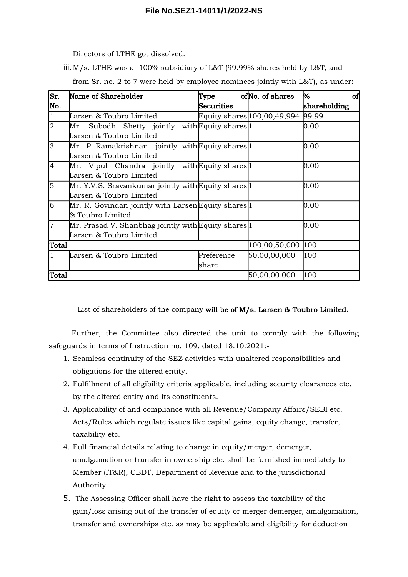Directors of LTHE got dissolved.

iii.M/s. LTHE was a 100% subsidiary of L&T (99.99% shares held by L&T, and

from Sr. no. 2 to 7 were held by employee nominees jointly with L&T), as under:

| Sr.            | Name of Shareholder                                         | Type         | ofNo. of shares             | %<br>of      |
|----------------|-------------------------------------------------------------|--------------|-----------------------------|--------------|
| No.            |                                                             | Securities   |                             | shareholding |
| $\vert$ 1      | Larsen & Toubro Limited                                     |              | Equity shares 100,00,49,994 | 99.99        |
| $ 2\rangle$    | Mr. Subodh Shetty jointly with Equity shares 1              |              |                             | 0.00         |
|                | Larsen & Toubro Limited                                     |              |                             |              |
| 3              | Mr. P Ramakrishnan jointly with Equity shares 1             |              |                             | 0.00         |
|                | Larsen & Toubro Limited                                     |              |                             |              |
| $\overline{4}$ | Mr. Vipul Chandra jointly with Equity shares <sup>[1]</sup> |              |                             | 0.00         |
|                | Larsen & Toubro Limited                                     |              |                             |              |
| 5              | Mr. Y.V.S. Sravankumar jointly with Equity shares 1         |              |                             | 0.00         |
|                | Larsen & Toubro Limited                                     |              |                             |              |
| 6              | Mr. R. Govindan jointly with Larsen Equity shares 1         |              |                             | 0.00         |
|                | & Toubro Limited                                            |              |                             |              |
| $\overline{7}$ | Mr. Prasad V. Shanbhag jointly with Equity shares 1         |              |                             | 0.00         |
|                | Larsen & Toubro Limited                                     |              |                             |              |
| Total          |                                                             |              | 100,00,50,000               | 100          |
|                | Larsen & Toubro Limited                                     | Preference   | 50,00,00,000                | 100          |
|                |                                                             | share        |                             |              |
| Total          |                                                             | 50,00,00,000 | 100                         |              |

List of shareholders of the company will be of M/s. Larsen & Toubro Limited.

Further, the Committee also directed the unit to comply with the following safeguards in terms of Instruction no. 109, dated 18.10.2021:-

- 1. Seamless continuity of the SEZ activities with unaltered responsibilities and obligations for the altered entity.
- 2. Fulfillment of all eligibility criteria applicable, including security clearances etc, by the altered entity and its constituents.
- 3. Applicability of and compliance with all Revenue/Company Affairs/SEBI etc. Acts/Rules which regulate issues like capital gains, equity change, transfer, taxability etc.
- 4. Full financial details relating to change in equity/merger, demerger, amalgamation or transfer in ownership etc. shall be furnished immediately to Member (IT&R), CBDT, Department of Revenue and to the jurisdictional Authority.
- 5. The Assessing Officer shall have the right to assess the taxability of the gain/loss arising out of the transfer of equity or merger demerger, amalgamation, transfer and ownerships etc. as may be applicable and eligibility for deduction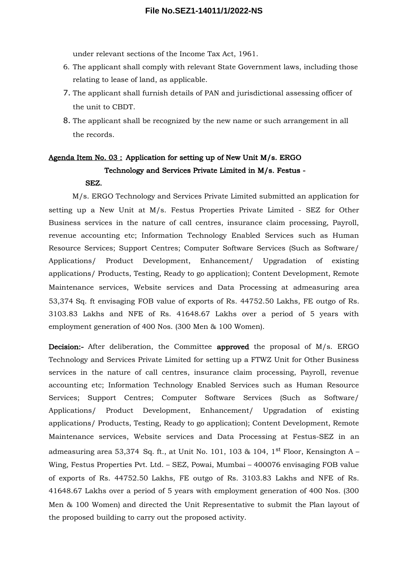under relevant sections of the Income Tax Act, 1961.

- 6. The applicant shall comply with relevant State Government laws, including those relating to lease of land, as applicable.
- 7. The applicant shall furnish details of PAN and jurisdictional assessing officer of the unit to CBDT.
- 8. The applicant shall be recognized by the new name or such arrangement in all the records.

# Agenda Item No. 03 : Application for setting up of New Unit M/s. ERGO Technology and Services Private Limited in M/s. Festus -

#### SEZ.

M/s. ERGO Technology and Services Private Limited submitted an application for setting up a New Unit at M/s. Festus Properties Private Limited - SEZ for Other Business services in the nature of call centres, insurance claim processing, Payroll, revenue accounting etc; Information Technology Enabled Services such as Human Resource Services; Support Centres; Computer Software Services (Such as Software/ Applications/ Product Development, Enhancement/ Upgradation of existing applications/ Products, Testing, Ready to go application); Content Development, Remote Maintenance services, Website services and Data Processing at admeasuring area 53,374 Sq. ft envisaging FOB value of exports of Rs. 44752.50 Lakhs, FE outgo of Rs. 3103.83 Lakhs and NFE of Rs. 41648.67 Lakhs over a period of 5 years with employment generation of 400 Nos. (300 Men & 100 Women).

Decision:- After deliberation, the Committee approved the proposal of M/s. ERGO Technology and Services Private Limited for setting up a FTWZ Unit for Other Business services in the nature of call centres, insurance claim processing, Payroll, revenue accounting etc; Information Technology Enabled Services such as Human Resource Services; Support Centres; Computer Software Services (Such as Software/ Applications/ Product Development, Enhancement/ Upgradation of existing applications/ Products, Testing, Ready to go application); Content Development, Remote Maintenance services, Website services and Data Processing at Festus-SEZ in an admeasuring area 53,374 Sq. ft., at Unit No. 101, 103 & 104,  $1<sup>st</sup>$  Floor, Kensington A – Wing, Festus Properties Pvt. Ltd. – SEZ, Powai, Mumbai – 400076 envisaging FOB value of exports of Rs. 44752.50 Lakhs, FE outgo of Rs. 3103.83 Lakhs and NFE of Rs. 41648.67 Lakhs over a period of 5 years with employment generation of 400 Nos. (300 Men & 100 Women) and directed the Unit Representative to submit the Plan layout of the proposed building to carry out the proposed activity.